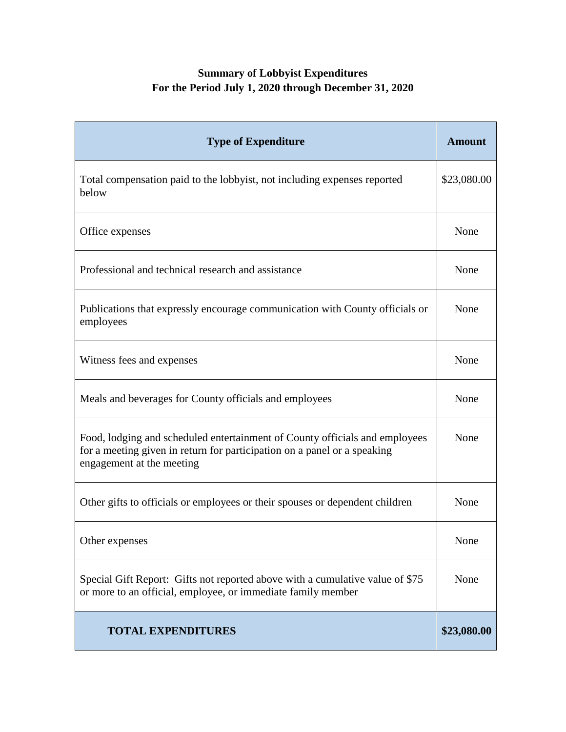## **Summary of Lobbyist Expenditures For the Period July 1, 2020 through December 31, 2020**

| <b>Type of Expenditure</b>                                                                                                                                                           | <b>Amount</b> |
|--------------------------------------------------------------------------------------------------------------------------------------------------------------------------------------|---------------|
| Total compensation paid to the lobbyist, not including expenses reported<br>below                                                                                                    | \$23,080.00   |
| Office expenses                                                                                                                                                                      | None          |
| Professional and technical research and assistance                                                                                                                                   | None          |
| Publications that expressly encourage communication with County officials or<br>employees                                                                                            | None          |
| Witness fees and expenses                                                                                                                                                            | None          |
| Meals and beverages for County officials and employees                                                                                                                               | None          |
| Food, lodging and scheduled entertainment of County officials and employees<br>for a meeting given in return for participation on a panel or a speaking<br>engagement at the meeting | None          |
| Other gifts to officials or employees or their spouses or dependent children                                                                                                         | None          |
| Other expenses                                                                                                                                                                       | None          |
| Special Gift Report: Gifts not reported above with a cumulative value of \$75<br>or more to an official, employee, or immediate family member                                        | None          |
| <b>TOTAL EXPENDITURES</b>                                                                                                                                                            | \$23,080.00   |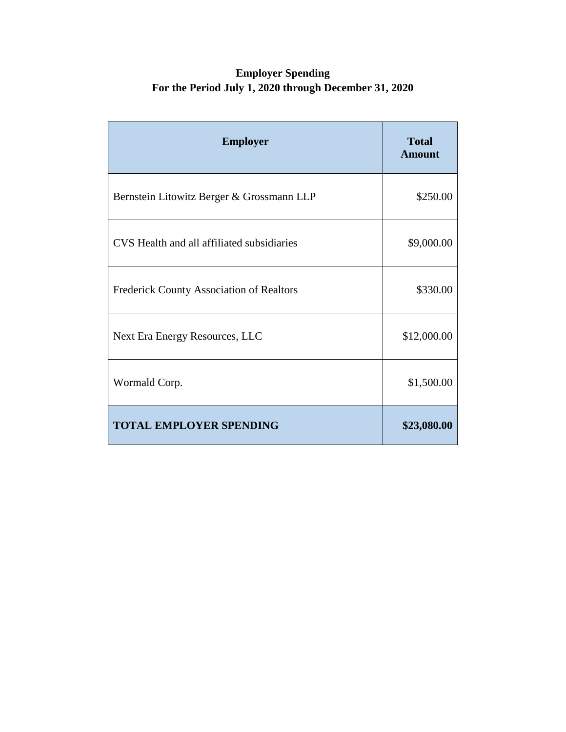## **Employer Spending For the Period July 1, 2020 through December 31, 2020**

| <b>Employer</b>                                 | <b>Total</b><br><b>Amount</b> |
|-------------------------------------------------|-------------------------------|
| Bernstein Litowitz Berger & Grossmann LLP       | \$250.00                      |
| CVS Health and all affiliated subsidiaries      | \$9,000.00                    |
| <b>Frederick County Association of Realtors</b> | \$330.00                      |
| Next Era Energy Resources, LLC                  | \$12,000.00                   |
| Wormald Corp.                                   | \$1,500.00                    |
| <b>TOTAL EMPLOYER SPENDING</b>                  | \$23,080.00                   |